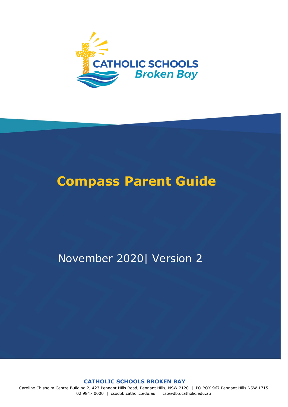

# **Compass Parent Guide**

# November 2020| Version 2

**CATHOLIC SCHOOLS BROKEN BAY**

Caroline Chisholm Centre Building 2, 423 Pennant Hills Road, Pennant Hills, NSW 2120 | PO BOX 967 Pennant Hills NSW 1715 02 9847 0000 | csodbb.catholic.edu.au | cso@dbb.catholic.edu.au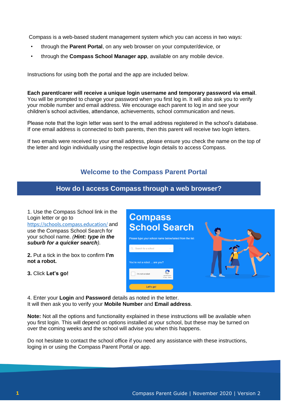Compass is a web-based student management system which you can access in two ways:

- through the **Parent Portal**, on any web browser on your computer/device, or
- through the **Compass School Manager app**, available on any mobile device.

Instructions for using both the portal and the app are included below.

**Each parent/carer will receive a unique login username and temporary password via email**. You will be prompted to change your password when you first log in. It will also ask you to verify your mobile number and email address. We encourage each parent to log in and see your children's school activities, attendance, achievements, school communication and news.

Please note that the login letter was sent to the email address registered in the school's database. If one email address is connected to both parents, then this parent will receive two login letters.

If two emails were received to your email address, please ensure you check the name on the top of the letter and login individually using the respective login details to access Compass.

## **Welcome to the Compass Parent Portal**

### **How do I access Compass through a web browser?**

1. Use the Compass School link in the Login letter or go to <https://schools.compass.education/> and use the Compass School Search for your school name. *(Hint: type in the suburb for a quicker search).* 

**2.** Put a tick in the box to confirm **I'm not a robot.** 

**3.** Click **Let's go!**



4. Enter your **Login** and **Password** details as noted in the letter. It will then ask you to verify your **Mobile Number** and **Email address**.

**Note:** Not all the options and functionality explained in these instructions will be available when you first login. This will depend on options installed at your school, but these may be turned on over the coming weeks and the school will advise you when this happens.

Do not hesitate to contact the school office if you need any assistance with these instructions, loging in or using the Compass Parent Portal or app.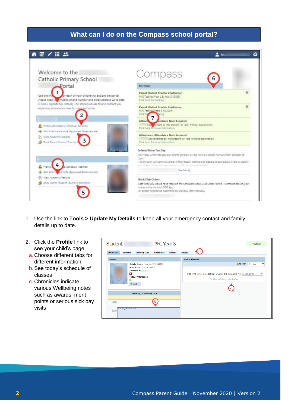## **What can I do on the Compass school portal?**



- 1. Use the link to **Tools > Update My Details** to keep all your emergency contact and family details up to date.
- 2. Click the **Profile** link to see your child's page
- a. Choose different tabs for different information
- b.See today's schedule of classes
- c. Chronicles indicate various Wellbeing notes such as awards, merit points or serious sick bay visits

| Student:         |                      |                                                                          | $-3R$ , Year 3    |                |                 | Active                                                                                                                                         |
|------------------|----------------------|--------------------------------------------------------------------------|-------------------|----------------|-----------------|------------------------------------------------------------------------------------------------------------------------------------------------|
| <b>Dashboard</b> | <b>Schedule</b>      | <b>Learning Tasks</b>                                                    | <b>Attendance</b> | <b>Reports</b> | <b>Insights</b> | a                                                                                                                                              |
| Student:         |                      |                                                                          |                   |                |                 | <b>Student Chronicle</b>                                                                                                                       |
|                  |                      | Details: 8 years, 7 months (07/07/2010)<br>Groups: MacKillop, 3R, Year 3 |                   |                |                 | $\checkmark$<br>Date Filter:<br>This Year                                                                                                      |
|                  | в                    | <b>Student IDs:</b><br><b>Today's Attendance:</b><br>$+$ Add $=$         |                   |                |                 | $\checkmark$<br>Displaying entries made between 1/1/2019 and 31/12/2019 for: All Categories<br>No Chronicle Entries to display<br>$\mathsf{C}$ |
|                  |                      | Thursday, 14 February 2019                                               |                   |                |                 |                                                                                                                                                |
| 8am              |                      |                                                                          | b                 |                |                 |                                                                                                                                                |
| 9am              | 8:50: 03 3R - PSEY74 |                                                                          |                   |                |                 |                                                                                                                                                |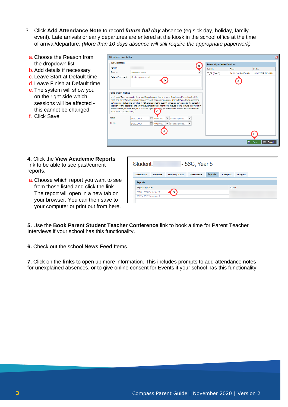- 3. Click **Add Attendance Note** to record *future full day* absence (eg sick day, holiday, family event). Late arrivals or early departures are entered at the kiosk in the school office at the time of arrival/departure. *(More than 10 days absence will still require the appropriate paperwork)* 
	- a. Choose the Reason from the dropdown list
	- b.Add details if necessary
	- c. Leave Start at Default time
	- d. Leave Finish at Default time
	- e.The system will show you on the right side which sessions will be affected this cannot be changed
	- f. Click Save

| Person:<br>Reason:<br>Medical - illness<br>Dental appointment<br>Details/Comment:<br><b>Important Notice</b><br>In clicking 'Save', you understand, certify and accept that you are a listed parent/quardian for this<br>child; and the information above is correct; and this online approval does NOT constitute a medical<br>certificate; and students enrolled in HSC are required to submit a medical certificate to the school in<br>addition to this approval; and any fraudulent action or intentional misuse of this feature may result in<br>administrative, criminal and/or civil action against Noy your registered school, affiliated entities<br>and/or the product issuer). |                                        |                                   | a<br>Activity<br>03_3R (Year 3) | <b>Start</b><br>14/02/2019 08:50 AM | Finish<br>14/02/2019 01:30 PM |
|--------------------------------------------------------------------------------------------------------------------------------------------------------------------------------------------------------------------------------------------------------------------------------------------------------------------------------------------------------------------------------------------------------------------------------------------------------------------------------------------------------------------------------------------------------------------------------------------------------------------------------------------------------------------------------------------|----------------------------------------|-----------------------------------|---------------------------------|-------------------------------------|-------------------------------|
|                                                                                                                                                                                                                                                                                                                                                                                                                                                                                                                                                                                                                                                                                            |                                        |                                   |                                 |                                     |                               |
|                                                                                                                                                                                                                                                                                                                                                                                                                                                                                                                                                                                                                                                                                            |                                        |                                   |                                 |                                     |                               |
|                                                                                                                                                                                                                                                                                                                                                                                                                                                                                                                                                                                                                                                                                            |                                        |                                   |                                 |                                     |                               |
| Start:<br>14/02/2019                                                                                                                                                                                                                                                                                                                                                                                                                                                                                                                                                                                                                                                                       | $\sqrt{2}$<br>$\checkmark$<br>08:45 AM | $\checkmark$<br>Select a period   |                                 |                                     |                               |
| Finish:<br>14/02/2019                                                                                                                                                                                                                                                                                                                                                                                                                                                                                                                                                                                                                                                                      | $\overline{\phantom{a}}$<br>09:30 AM   | ► Select a period<br>$\checkmark$ |                                 |                                     |                               |

**4.** Click the **View Academic Reports**  link to be able to see past/current reports.

a. Choose which report you want to see from those listed and click the link. The report will open in a new tab on your browser. You can then save to your computer or print out from here.

| Student:               |                 |                       | $-56C$ , Year 5   |                |                  |                 |
|------------------------|-----------------|-----------------------|-------------------|----------------|------------------|-----------------|
| <b>Dashboard</b>       | <b>Schedule</b> | <b>Learning Tasks</b> | <b>Attendance</b> | <b>Reports</b> | <b>Analytics</b> | <b>Insights</b> |
| <b>Reports</b>         |                 |                       |                   |                |                  |                 |
| Reporting Cycle        |                 |                       |                   |                | School           |                 |
| 2018 - 2018 Semester 1 |                 | a                     |                   |                |                  |                 |
| 2017 - 2017 Semester 2 |                 |                       |                   |                |                  |                 |

**5.** Use the **Book Parent Student Teacher Conference** link to book a time for Parent Teacher Interviews if your school has this functionality.

**6.** Check out the school **News Feed** Items.

**7.** Click on the **links** to open up more information. This includes prompts to add attendance notes for unexplained absences, or to give online consent for Events if your school has this functionality.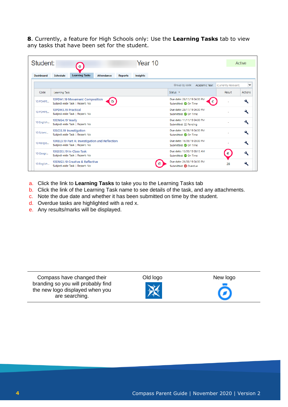**8**. Currently, a feature for High Schools only: Use the **Learning Tasks** tab to view any tasks that have been set for the student.

| Student:         |                         | a                                                                                |                   |                | Year 10         |                                                            |                |                      | Active         |
|------------------|-------------------------|----------------------------------------------------------------------------------|-------------------|----------------|-----------------|------------------------------------------------------------|----------------|----------------------|----------------|
| <b>Dashboard</b> | <b>Schedule</b>         | <b>Learning Tasks</b>                                                            | <b>Attendance</b> | <b>Reports</b> | <b>Insights</b> |                                                            |                |                      |                |
|                  |                         |                                                                                  |                   |                |                 | Group by code                                              | Academic Year: | (Currently Relevant) | $\checkmark$   |
| Code             | Learning Task           |                                                                                  |                   |                |                 | Status $\sim$                                              |                | Result               | <b>Actions</b> |
| 10 PDHPE         |                         | 10PDH1.19 Movement Composition<br>Subject-wide Task   Report: No                 | b                 |                |                 | Due date: 28/11/19 04:00 PM<br>Submitted: O On Time        | c              |                      | વ              |
| 10 PDHPE         | 10PDH3.19 Practical     | Subject-wide Task   Report: No                                                   |                   |                |                 | Due date: 28/11/19 04:00 PM<br>Submitted: O On Time        |                |                      | a.             |
| 10 English       | 10ENG4.19 Yearly        | Subject-wide Task   Report: No                                                   |                   |                |                 | Due date: 11/11/19 04:00 PM<br>Submitted: Pending          |                |                      | ٩              |
| 10 Scienc        | 10SCI3.19 Investigation | Subject-wide Task   Report: No                                                   |                   |                |                 | Due date: 16/09/19 04:00 PM<br>Submitted: O On Time        |                |                      | વ              |
| 10 Religio       |                         | 10REL3.19 Part A: Investigation and Reflection<br>Subject-wide Task   Report: No |                   |                |                 | Due date: 16/09/19 03:00 PM<br>Submitted: O On Time        |                |                      | ٩              |
| 10 Geogr         |                         | 10GEO3.19 In-Class Task<br>Subject-wide Task   Report: No                        |                   |                |                 | Due date: 13/09/19 08:15 AM<br>Submitted: O On Time        |                | e                    | a              |
| 10 English       |                         | 10ENG3.19 Creative & Reflective<br>Subject-wide Task   Report: No                |                   |                |                 | Due date: 26/08/19 04:00 PM<br>Submitted: <b>@</b> Overdue |                | 28                   | u              |

- a. Click the link to **Learning Tasks** to take you to the Learning Tasks tab
- b. Click the link of the Learning Task name to see details of the task, and any attachments.
- c. Note the due date and whether it has been submitted on time by the student.
- d. Overdue tasks are highlighted with a red x.
- e. Any results/marks will be displayed.

| Compass have changed their         |  |  |  |  |  |  |
|------------------------------------|--|--|--|--|--|--|
| branding so you will probably find |  |  |  |  |  |  |
| the new logo displayed when you    |  |  |  |  |  |  |
| are searching.                     |  |  |  |  |  |  |

Old logo New logo

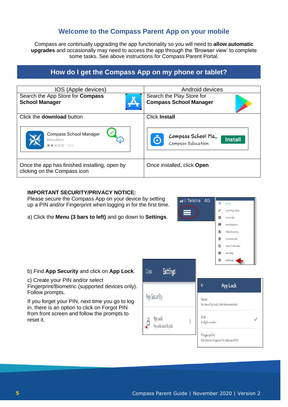# **Welcome to the Compass Parent App on your mobile**

Compass are continually upgrading the app functionality so you will need to **allow automatic upgrades** and occasionally may need to access the app through the 'Browser view' to complete some tasks. See above instructions for Compass Parent Portal.

# **How do I get the Compass App on my phone or tablet?**

| IOS (Apple devices)                                                           | Android devices               |  |  |  |
|-------------------------------------------------------------------------------|-------------------------------|--|--|--|
| Search the App Store for Compass                                              | Search the Play Store for     |  |  |  |
| <b>School Manager</b>                                                         | <b>Compass School Manager</b> |  |  |  |
| Click the <b>download</b> button                                              | <b>Click Install</b>          |  |  |  |
| <b>Compass School Manager</b>                                                 | Compass School Ma             |  |  |  |
| Education                                                                     | <b>Install</b>                |  |  |  |
| ★★☆☆☆ 456                                                                     | Compass Education             |  |  |  |
| Once the app has finished installing, open by<br>clicking on the Compass icon | Once installed, click Open    |  |  |  |

### **IMPORTANT SECURITY/PRIVACY NOTICE:**

c) Create your PIN and/or select

If you forget your PIN, next time you go to log in, there is an option to click on Forgot PIN from front screen and follow the prompts to

Follow prompts.

reset it.

Please secure the Compass App on your device by setting up a PIN and/or Fingerprint when logging in for the first time.

a) Click the **Menu (3 bars to left)** and go down to **Settings**.